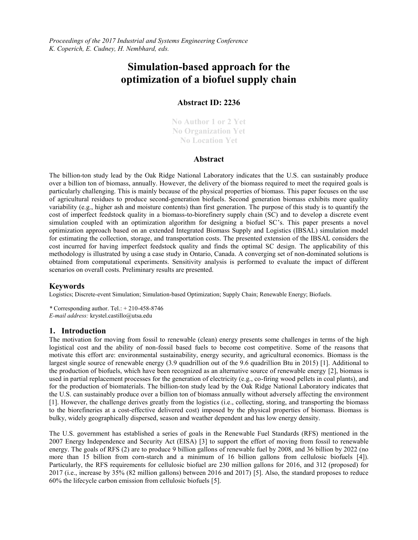*Proceedings of the 2017 Industrial and Systems Engineering Conference K. Coperich, E. Cudney, H. Nembhard, eds.*

# **Simulation-based approach for the optimization of a biofuel supply chain**

## **Abstract ID: 2236**

**No Author 1 or 2 Yet No Organization Yet No Location Yet**

#### **Abstract**

The billion-ton study lead by the Oak Ridge National Laboratory indicates that the U.S. can sustainably produce over a billion ton of biomass, annually. However, the delivery of the biomass required to meet the required goals is particularly challenging. This is mainly because of the physical properties of biomass. This paper focuses on the use of agricultural residues to produce second-generation biofuels. Second generation biomass exhibits more quality variability (e.g., higher ash and moisture contents) than first generation. The purpose of this study is to quantify the cost of imperfect feedstock quality in a biomass-to-biorefinery supply chain (SC) and to develop a discrete event simulation coupled with an optimization algorithm for designing a biofuel SC's. This paper presents a novel optimization approach based on an extended Integrated Biomass Supply and Logistics (IBSAL) simulation model for estimating the collection, storage, and transportation costs. The presented extension of the IBSAL considers the cost incurred for having imperfect feedstock quality and finds the optimal SC design. The applicability of this methodology is illustrated by using a case study in Ontario, Canada. A converging set of non-dominated solutions is obtained from computational experiments. Sensitivity analysis is performed to evaluate the impact of different scenarios on overall costs. Preliminary results are presented.

#### **Keywords**

Logistics; Discrete-event Simulation; Simulation-based Optimization; Supply Chain; Renewable Energy; Biofuels.

*\** Corresponding author. Tel.: + 210-458-8746 *E-mail address:* krystel.castillo@utsa.edu

#### **1. Introduction**

The motivation for moving from fossil to renewable (clean) energy presents some challenges in terms of the high logistical cost and the ability of non-fossil based fuels to become cost competitive. Some of the reasons that motivate this effort are: environmental sustainability, energy security, and agricultural economics. Biomass is the largest single source of renewable energy (3.9 quadrillion out of the 9.6 quadrillion Btu in 2015) [\[1\]](#page-4-0). Additional to the production of biofuels, which have been recognized as an alternative source of renewable energy [\[2\]](#page-4-1), biomass is used in partial replacement processes for the generation of electricity (e.g., co-firing wood pellets in coal plants), and for the production of biomaterials. The billion-ton study lead by the Oak Ridge National Laboratory indicates that the U.S. can sustainably produce over a billion ton of biomass annually without adversely affecting the environment [\[1\]](#page-4-0). However, the challenge derives greatly from the logistics (i.e., collecting, storing, and transporting the biomass to the biorefineries at a cost-effective delivered cost) imposed by the physical properties of biomass. Biomass is bulky, widely geographically dispersed, season and weather dependent and has low energy density.

The U.S. government has established a series of goals in the Renewable Fuel Standards (RFS) mentioned in the 2007 Energy Independence and Security Act (EISA) [\[3\]](#page-4-2) to support the effort of moving from fossil to renewable energy. The goals of RFS (2) are to produce 9 billion gallons of renewable fuel by 2008, and 36 billion by 2022 (no more than 15 billion from corn-starch and a minimum of 16 billion gallons from cellulosic biofuels [\[4\]](#page-4-3)). Particularly, the RFS requirements for cellulosic biofuel are 230 million gallons for 2016, and 312 (proposed) for 2017 (i.e., increase by 35% (82 million gallons) between 2016 and 2017) [\[5\]](#page-5-0). Also, the standard proposes to reduce 60% the lifecycle carbon emission from cellulosic biofuels [\[5\]](#page-5-0).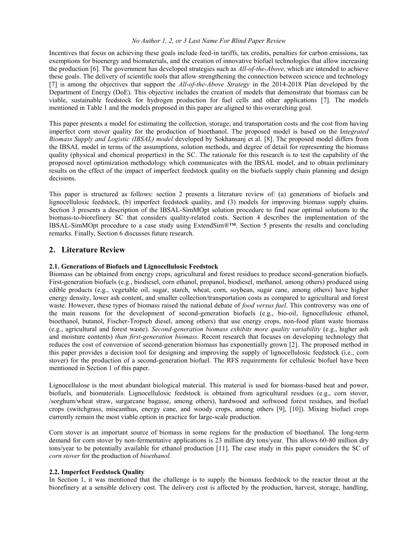#### *No Author 1, 2, or 3 Last Name For Blind Paper Review*

Incentives that focus on achieving these goals include feed-in tariffs, tax credits, penalties for carbon emissions, tax exemptions for bioenergy and biomaterials, and the creation of innovative biofuel technologies that allow increasing the production [\[6\]](#page-5-1). The government has developed strategies such as *All-of-the-Above*, which are intended to achieve these goals. The delivery of scientific tools that allow strengthening the connection between science and technology [\[7\]](#page-5-2) is among the objectives that support the *All-of-the-Above Strategy* in the 2014-2018 Plan developed by the Department of Energy (DoE). This objective includes the creation of models that demonstrate that biomass can be viable, sustainable feedstock for hydrogen production for fuel cells and other applications [\[7\]](#page-5-2). The models mentioned in Table 1 and the models proposed in this paper are aligned to this overarching goal.

This paper presents a model for estimating the collection, storage, and transportation costs and the cost from having imperfect corn stover quality for the production of bioethanol. The proposed model is based on the I*ntegrated Biomass Supply and Logistic (IBSAL) model* developed by Sokhansanj et al. [\[8\]](#page-5-3). The proposed model differs from the IBSAL model in terms of the assumptions, solution methods, and degree of detail for representing the biomass quality (physical and chemical properties) in the SC. The rationale for this research is to test the capability of the proposed novel optimization methodology which communicates with the IBSAL model, and to obtain preliminary results on the effect of the impact of imperfect feedstock quality on the biofuels supply chain planning and design decisions.

This paper is structured as follows: section 2 presents a literature review of: (a) generations of biofuels and lignocellulosic feedstock, (b) imperfect feedstock quality, and (3) models for improving biomass supply chains. Section 3 presents a description of the IBSAL-SimMOpt solution procedure to find near optimal solutions to the biomass-to-biorefinery SC that considers quality-related costs. Section 4 describes the implementation of the IBSAL-SimMOpt procedure to a case study using ExtendSim®™. Section 5 presents the results and concluding remarks. Finally, Section 6 discusses future research.

# **2. Literature Review**

#### **2.1. Generations of Biofuels and Lignocellulosic Feedstock**

Biomass can be obtained from energy crops, agricultural and forest residues to produce second-generation biofuels. First-generation biofuels (e.g., biodiesel, corn ethanol, propanol, biodiesel, methanol, among others) produced using edible products (e.g., vegetable oil, sugar, starch, wheat, corn, soybean, sugar cane, among others) have higher energy density, lower ash content, and smaller collection/transportation costs as compared to agricultural and forest waste. However, these types of biomass raised the national debate of *food versus fuel*. This controversy was one of the main reasons for the development of second-generation biofuels (e.g., bio-oil, lignocellulosic ethanol, bioethanol, butanol, Fischer-Tropsch diesel, among others) that use energy crops, non-food plant waste biomass (e.g., agricultural and forest waste). *Second-generation biomass exhibits more quality variability* (e.g., higher ash and moisture contents) *than first-generation biomass*. Recent research that focuses on developing technology that reduces the cost of conversion of second-generation biomass has exponentially grown [\[2\]](#page-4-1). The proposed method in this paper provides a decision tool for designing and improving the supply of lignocellulosic feedstock (i.e., corn stover) for the production of a second-generation biofuel. The RFS requirements for cellulosic biofuel have been mentioned in Section 1 of this paper.

Lignocellulose is the most abundant biological material. This material is used for biomass-based heat and power, biofuels, and biomaterials. Lignocellulosic feedstock is obtained from agricultural residues (e.g., corn stover, /sorghum/wheat straw, surgarcane bagasse, among others), hardwood and softwood forest residues, and biofuel crops (switchgrass, miscanthus, energy cane, and woody crops, among others [\[9\]](#page-5-4), [\[10\]](#page-5-5)). Mixing biofuel crops currently remain the most viable option in practice for large-scale production.

Corn stover is an important source of biomass in some regions for the production of bioethanol. The long-term demand for corn stover by non-fermentative applications is 23 million dry tons/year. This allows 60-80 million dry tons/year to be potentially available for ethanol production [\[11\]](#page-5-6). The case study in this paper considers the SC of *corn stover* for the production of *bioethanol.*

#### **2.2. Imperfect Feedstock Quality**

In Section 1, it was mentioned that the challenge is to supply the biomass feedstock to the reactor throat at the biorefinery at a sensible delivery cost. The delivery cost is affected by the production, harvest, storage, handling,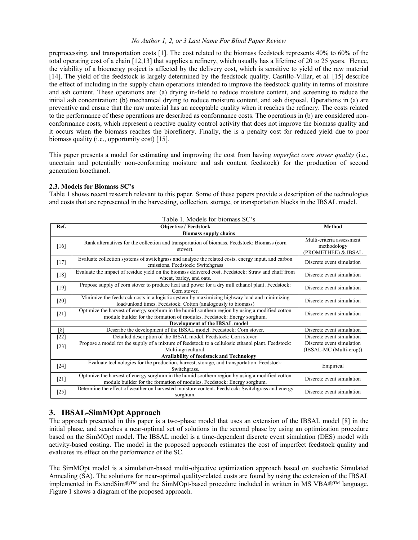#### *No Author 1, 2, or 3 Last Name For Blind Paper Review*

preprocessing, and transportation costs [\[1\]](#page-4-0). The cost related to the biomass feedstock represents 40% to 60% of the total operating cost of a chain [\[12](#page-5-7)[,13\]](#page-5-8) that supplies a refinery, which usually has a lifetime of 20 to 25 years. Hence, the viability of a bioenergy project is affected by the delivery cost, which is sensitive to yield of the raw material [\[14\]](#page-5-9). The yield of the feedstock is largely determined by the feedstock quality. Castillo-Villar, et al. [\[15\]](#page-5-10) describe the effect of including in the supply chain operations intended to improve the feedstock quality in terms of moisture and ash content. These operations are: (a) drying in-field to reduce moisture content, and screening to reduce the initial ash concentration; (b) mechanical drying to reduce moisture content, and ash disposal. Operations in (a) are preventive and ensure that the raw material has an acceptable quality when it reaches the refinery. The costs related to the performance of these operations are described as conformance costs. The operations in (b) are considered nonconformance costs, which represent a reactive quality control activity that does not improve the biomass quality and it occurs when the biomass reaches the biorefinery. Finally, the is a penalty cost for reduced yield due to poor biomass quality (i.e., opportunity cost) [\[15\]](#page-5-10).

This paper presents a model for estimating and improving the cost from having *imperfect corn stover quality* (i.e., uncertain and potentially non-conforming moisture and ash content feedstock) for the production of second generation bioethanol.

#### **2.3. Models for Biomass SC's**

Table 1 shows recent research relevant to this paper. Some of these papers provide a description of the technologies and costs that are represented in the harvesting, collection, storage, or transportation blocks in the IBSAL model.

| Ref.                                            | <b>Objective / Feedstock</b>                                                                                                                                              | <b>Method</b>                                                   |
|-------------------------------------------------|---------------------------------------------------------------------------------------------------------------------------------------------------------------------------|-----------------------------------------------------------------|
| <b>Biomass supply chains</b>                    |                                                                                                                                                                           |                                                                 |
| $[16]$                                          | Rank alternatives for the collection and transportation of biomass. Feedstock: Biomass (corn<br>stover).                                                                  | Multi-criteria assessment<br>methodology<br>(PROMETHEE) & IBSAL |
| $[17]$                                          | Evaluate collection systems of switchgrass and analyze the related costs, energy input, and carbon<br>emissions. Feedstock: Switchgrass                                   | Discrete event simulation                                       |
| $[18]$                                          | Evaluate the impact of residue yield on the biomass delivered cost. Feedstock: Straw and chaff from<br>wheat, barley, and oats.                                           | Discrete event simulation                                       |
| $[19]$                                          | Propose supply of corn stover to produce heat and power for a dry mill ethanol plant. Feedstock:<br>Corn stover.                                                          | Discrete event simulation                                       |
| $[20]$                                          | Minimize the feedstock costs in a logistic system by maximizing highway load and minimizing<br>load/unload times. Feedstock: Cotton (analogously to biomass)              | Discrete event simulation                                       |
| $[21]$                                          | Optimize the harvest of energy sorghum in the humid southern region by using a modified cotton<br>module builder for the formation of modules. Feedstock: Energy sorghum. | Discrete event simulation                                       |
| Development of the IBSAL model                  |                                                                                                                                                                           |                                                                 |
| [8]                                             | Describe the development of the IBSAL model. Feedstock: Corn stover.                                                                                                      | Discrete event simulation                                       |
| $[22]$                                          | Detailed description of the IBSAL model. Feedstock: Corn stover.                                                                                                          | Discrete event simulation                                       |
| $[23]$                                          | Propose a model for the supply of a mixture of feedstock to a cellulosic ethanol plant. Feedstock:<br>Multi-agricultural.                                                 | Discrete event simulation<br>(IBSAL-MC (Multi-crop))            |
| <b>Availability of feedstock and Technology</b> |                                                                                                                                                                           |                                                                 |
| $[24]$                                          | Evaluate technologies for the production, harvest, storage, and transportation. Feedstock:<br>Switchgrass.                                                                | Empirical                                                       |
| [21]                                            | Optimize the harvest of energy sorghum in the humid southern region by using a modified cotton<br>module builder for the formation of modules. Feedstock: Energy sorghum. | Discrete event simulation                                       |
| $[25]$                                          | Determine the effect of weather on harvested moisture content. Feedstock: Switchgrass and energy<br>sorghum.                                                              | Discrete event simulation                                       |

# **3. IBSAL-SimMOpt Approach**

The approach presented in this paper is a two-phase model that uses an extension of the IBSAL model [\[8\]](#page-5-3) in the initial phase, and searches a near-optimal set of solutions in the second phase by using an optimization procedure based on the SimMOpt model. The IBSAL model is a time-dependent discrete event simulation (DES) model with activity-based costing. The model in the proposed approach estimates the cost of imperfect feedstock quality and evaluates its effect on the performance of the SC.

The SimMOpt model is a simulation-based multi-objective optimization approach based on stochastic Simulated Annealing (SA). The solutions for near-optimal quality-related costs are found by using the extension of the IBSAL implemented in ExtendSim®™ and the SimMOpt-based procedure included in written in MS VBA®™ language. Figure 1 shows a diagram of the proposed approach.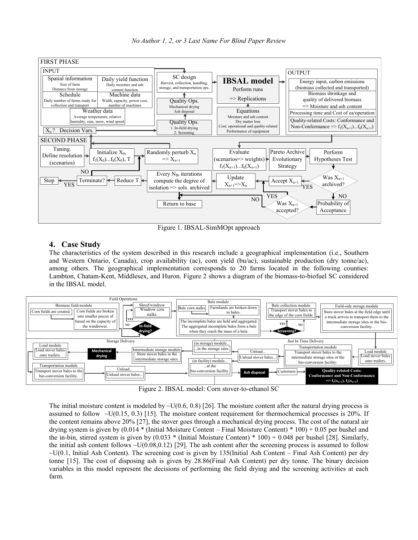

*No Author 1, 2, or 3 Last Name For Blind Paper Review*

Figure 1. IBSAL-SimMOpt approach

# **4. Case Study**

The characteristics of the system described in this research include a geographical implementation (i.e., Southern and Western Ontario, Canada), crop availability (ac), corn yield (bu/ac), sustainable production (dry tonne/ac), among others. The geographical implementation corresponds to 20 farms located in the following counties: Lambton, Chatam-Kent, Middlesex, and Huron. Figure 2 shows a diagram of the biomass-to-biofuel SC considered in the IBSAL model.



Figure 2. IBSAL model: Corn stover-to-ethanol SC

The initial moisture content is modeled by  $\sim U(0.6, 0.8)$  [\[26\]](#page-5-21). The moisture content after the natural drying process is assumed to follow  $\sim U(0.15, 0.3)$  [\[15\]](#page-5-10). The moisture content requirement for thermochemical processes is 20%. If the content remains above 20% [\[27\]](#page-5-22), the stover goes through a mechanical drying process. The cost of the natural air drying system is given by (0.014 \* (Initial Moisture Content – Final Moisture Content) \* 100) + 0.05 per bushel and the in-bin, stirred system is given by  $(0.033 * (Initial moisture Content) * 100) + 0.048$  per bushel [\[28\]](#page-5-23). Similarly, the initial ash content follows  $\sim U(0.08,0.12)$  [\[29\]](#page-5-24). The ash content after the screening process is assumed to follow  $\sim U(0.1$ , Initial Ash Content). The screening cost is given by 135(Initial Ash Content – Final Ash Content) per dry tonne [\[15\]](#page-5-10). The cost of disposing ash is given by 28.86(Final Ash Content) per dry tonne. The binary decision variables in this model represent the decisions of performing the field drying and the screening activities at each farm.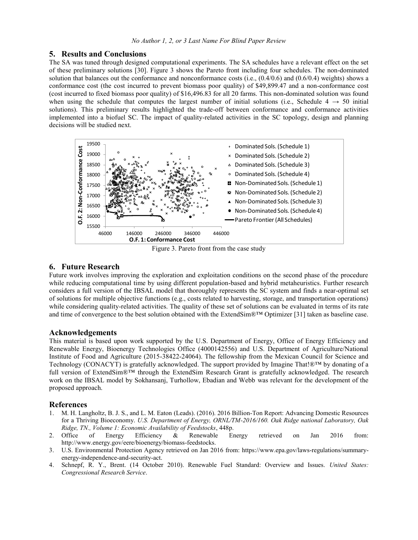#### **5. Results and Conclusions**

The SA was tuned through designed computational experiments. The SA schedules have a relevant effect on the set of these preliminary solutions [\[30\]](#page-5-25). Figure 3 shows the Pareto front including four schedules. The non-dominated solution that balances out the conformance and nonconformance costs (i.e., (0.4/0.6) and (0.6/0.4) weights) shows a conformance cost (the cost incurred to prevent biomass poor quality) of \$49,899.47 and a non-conformance cost (cost incurred to fixed biomass poor quality) of \$16,496.83 for all 20 farms. This non-dominated solution was found when using the schedule that computes the largest number of initial solutions (i.e., Schedule 4  $\rightarrow$  50 initial solutions). This preliminary results highlighted the trade-off between conformance and conformance activities implemented into a biofuel SC. The impact of quality-related activities in the SC topology, design and planning decisions will be studied next.



Figure 3. Pareto front from the case study

## **6. Future Research**

Future work involves improving the exploration and exploitation conditions on the second phase of the procedure while reducing computational time by using different population-based and hybrid metaheuristics. Further research considers a full version of the IBSAL model that thoroughly represents the SC system and finds a near-optimal set of solutions for multiple objective functions (e.g., costs related to harvesting, storage, and transportation operations) while considering quality-related activities. The quality of these set of solutions can be evaluated in terms of its rate and time of convergence to the best solution obtained with the ExtendSim®™ Optimizer [\[31\]](#page-5-26) taken as baseline case.

#### **Acknowledgements**

This material is based upon work supported by the U.S. Department of Energy, Office of Energy Efficiency and Renewable Energy, Bioenergy Technologies Office (4000142556) and U.S. Department of Agriculture/National Institute of Food and Agriculture (2015-38422-24064). The fellowship from the Mexican Council for Science and Technology (CONACYT) is gratefully acknowledged. The support provided by Imagine That!®™ by donating of a full version of ExtendSim®™ through the ExtendSim Research Grant is gratefully acknowledged. The research work on the IBSAL model by Sokhansanj, Turhollow, Ebadian and Webb was relevant for the development of the proposed approach.

#### **References**

- <span id="page-4-0"></span>1. M. H. Langholtz, B. J. S., and L. M. Eaton (Leads). (2016). 2016 Billion-Ton Report: Advancing Domestic Resources for a Thriving Bioeconomy. *U.S. Department of Energy, ORNL/TM-2016/160. Oak Ridge national Laboratory, Oak Ridge, TN., Volume 1: Economic Availability of Feedstocks*, 448p.
- <span id="page-4-1"></span>2. Office of Energy Efficiency & Renewable Energy retrieved on Jan 2016 from: http://www.energy.gov/eere/bioenergy/biomass-feedstocks.
- <span id="page-4-2"></span>3. U.S. Environmental Protection Agency retrieved on Jan 2016 from: https://www.epa.gov/laws-regulations/summaryenergy-independence-and-security-act.
- <span id="page-4-3"></span>4. Schnepf, R. Y., Brent. (14 October 2010). Renewable Fuel Standard: Overview and Issues. *United States: Congressional Research Service*.